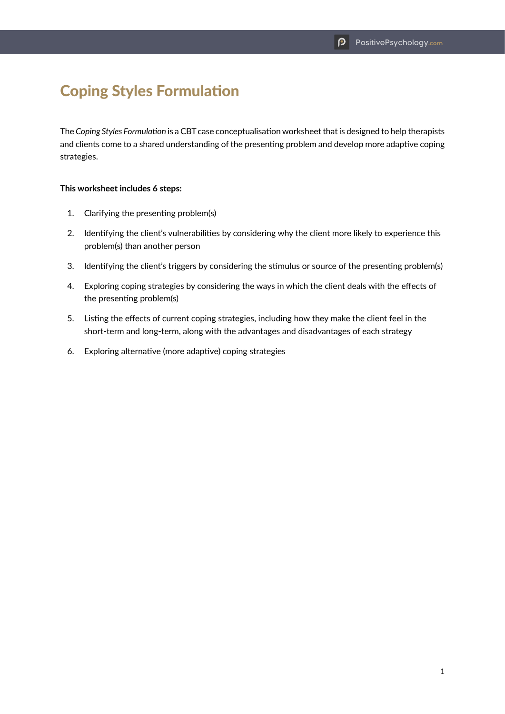## Coping Styles Formulation

The *Coping Styles Formulation* is a CBT case conceptualisation worksheet that is designed to help therapists and clients come to a shared understanding of the presenting problem and develop more adaptive coping strategies.

## **This worksheet includes 6 steps:**

- 1. Clarifying the presenting problem(s)
- 2. Identifying the client's vulnerabilities by considering why the client more likely to experience this problem(s) than another person
- 3. Identifying the client's triggers by considering the stimulus or source of the presenting problem(s)
- 4. Exploring coping strategies by considering the ways in which the client deals with the effects of the presenting problem(s)
- 5. Listing the effects of current coping strategies, including how they make the client feel in the short-term and long-term, along with the advantages and disadvantages of each strategy
- 6. Exploring alternative (more adaptive) coping strategies